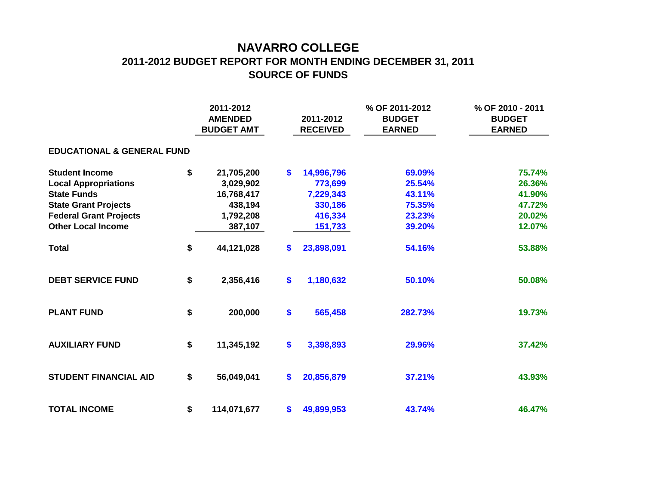## **NAVARRO COLLEGE 2011-2012 BUDGET REPORT FOR MONTH ENDING DECEMBER 31, 2011 SOURCE OF FUNDS**

|                                       |    | 2011-2012<br><b>AMENDED</b><br><b>BUDGET AMT</b> |              | 2011-2012<br><b>RECEIVED</b> | % OF 2011-2012<br><b>BUDGET</b><br><b>EARNED</b> | % OF 2010 - 2011<br><b>BUDGET</b><br><b>EARNED</b> |  |  |  |  |  |  |  |  |
|---------------------------------------|----|--------------------------------------------------|--------------|------------------------------|--------------------------------------------------|----------------------------------------------------|--|--|--|--|--|--|--|--|
| <b>EDUCATIONAL &amp; GENERAL FUND</b> |    |                                                  |              |                              |                                                  |                                                    |  |  |  |  |  |  |  |  |
| <b>Student Income</b>                 | \$ | 21,705,200                                       | $\mathbf{s}$ | 14,996,796                   | 69.09%                                           | 75.74%                                             |  |  |  |  |  |  |  |  |
| <b>Local Appropriations</b>           |    | 3,029,902                                        |              | 773,699                      | 25.54%                                           | 26.36%                                             |  |  |  |  |  |  |  |  |
| <b>State Funds</b>                    |    | 16,768,417                                       |              | 7,229,343                    | 43.11%                                           | 41.90%                                             |  |  |  |  |  |  |  |  |
| <b>State Grant Projects</b>           |    | 438,194                                          |              | 330,186                      | 75.35%                                           | 47.72%                                             |  |  |  |  |  |  |  |  |
| <b>Federal Grant Projects</b>         |    | 1,792,208                                        |              | 416,334                      | 23.23%                                           | 20.02%                                             |  |  |  |  |  |  |  |  |
| <b>Other Local Income</b>             |    | 387,107                                          |              | 151,733                      | 39.20%                                           | 12.07%                                             |  |  |  |  |  |  |  |  |
| <b>Total</b>                          | \$ | 44,121,028                                       | \$           | 23,898,091                   | 54.16%                                           | 53.88%                                             |  |  |  |  |  |  |  |  |
| <b>DEBT SERVICE FUND</b>              | \$ | 2,356,416                                        | \$           | 1,180,632                    | 50.10%                                           | 50.08%                                             |  |  |  |  |  |  |  |  |
| <b>PLANT FUND</b>                     | \$ | 200,000                                          | \$           | 565,458                      | 282.73%                                          | 19.73%                                             |  |  |  |  |  |  |  |  |
| <b>AUXILIARY FUND</b>                 | \$ | 11,345,192                                       | \$           | 3,398,893                    | 29.96%                                           | 37.42%                                             |  |  |  |  |  |  |  |  |
| <b>STUDENT FINANCIAL AID</b>          | \$ | 56,049,041                                       | \$           | 20,856,879                   | 37.21%                                           | 43.93%                                             |  |  |  |  |  |  |  |  |
| <b>TOTAL INCOME</b>                   | \$ | 114,071,677                                      | \$           | 49,899,953                   | 43.74%                                           | 46.47%                                             |  |  |  |  |  |  |  |  |